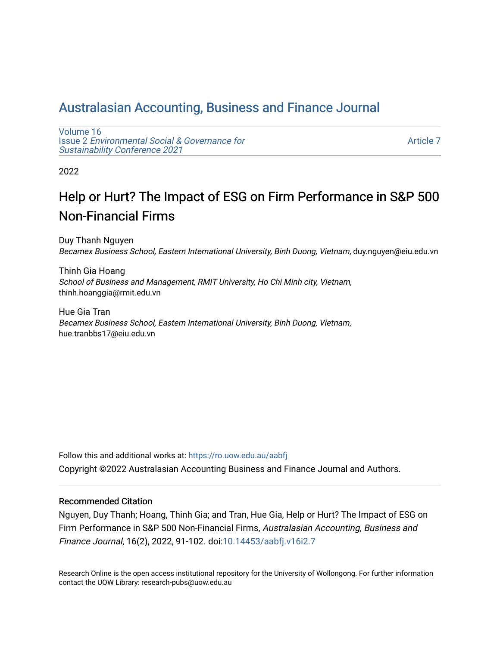# [Australasian Accounting, Business and Finance Journal](https://ro.uow.edu.au/aabfj)

[Volume 16](https://ro.uow.edu.au/aabfj/vol16) Issue 2 [Environmental Social & Governance for](https://ro.uow.edu.au/aabfj/vol16/iss2)  [Sustainability Conference 2021](https://ro.uow.edu.au/aabfj/vol16/iss2) 

[Article 7](https://ro.uow.edu.au/aabfj/vol16/iss2/7) 

2022

# Help or Hurt? The Impact of ESG on Firm Performance in S&P 500 Non-Financial Firms

Duy Thanh Nguyen Becamex Business School, Eastern International University, Binh Duong, Vietnam, duy.nguyen@eiu.edu.vn

Thinh Gia Hoang School of Business and Management, RMIT University, Ho Chi Minh city, Vietnam, thinh.hoanggia@rmit.edu.vn

Hue Gia Tran Becamex Business School, Eastern International University, Binh Duong, Vietnam, hue.tranbbs17@eiu.edu.vn

Follow this and additional works at: [https://ro.uow.edu.au/aabfj](https://ro.uow.edu.au/aabfj?utm_source=ro.uow.edu.au%2Faabfj%2Fvol16%2Fiss2%2F7&utm_medium=PDF&utm_campaign=PDFCoverPages) Copyright ©2022 Australasian Accounting Business and Finance Journal and Authors.

#### Recommended Citation

Nguyen, Duy Thanh; Hoang, Thinh Gia; and Tran, Hue Gia, Help or Hurt? The Impact of ESG on Firm Performance in S&P 500 Non-Financial Firms, Australasian Accounting, Business and Finance Journal, 16(2), 2022, 91-102. doi:[10.14453/aabfj.v16i2.7](http://dx.doi.org/10.14453/aabfj.v16i2.7) 

Research Online is the open access institutional repository for the University of Wollongong. For further information contact the UOW Library: research-pubs@uow.edu.au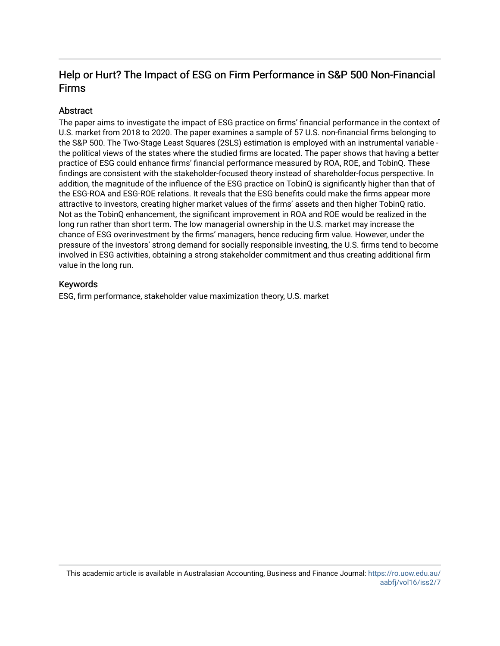# Help or Hurt? The Impact of ESG on Firm Performance in S&P 500 Non-Financial Firms

#### Abstract

The paper aims to investigate the impact of ESG practice on firms' financial performance in the context of U.S. market from 2018 to 2020. The paper examines a sample of 57 U.S. non-financial firms belonging to the S&P 500. The Two-Stage Least Squares (2SLS) estimation is employed with an instrumental variable the political views of the states where the studied firms are located. The paper shows that having a better practice of ESG could enhance firms' financial performance measured by ROA, ROE, and TobinQ. These findings are consistent with the stakeholder-focused theory instead of shareholder-focus perspective. In addition, the magnitude of the influence of the ESG practice on TobinQ is significantly higher than that of the ESG-ROA and ESG-ROE relations. It reveals that the ESG benefits could make the firms appear more attractive to investors, creating higher market values of the firms' assets and then higher TobinQ ratio. Not as the TobinQ enhancement, the significant improvement in ROA and ROE would be realized in the long run rather than short term. The low managerial ownership in the U.S. market may increase the chance of ESG overinvestment by the firms' managers, hence reducing firm value. However, under the pressure of the investors' strong demand for socially responsible investing, the U.S. firms tend to become involved in ESG activities, obtaining a strong stakeholder commitment and thus creating additional firm value in the long run.

#### Keywords

ESG, firm performance, stakeholder value maximization theory, U.S. market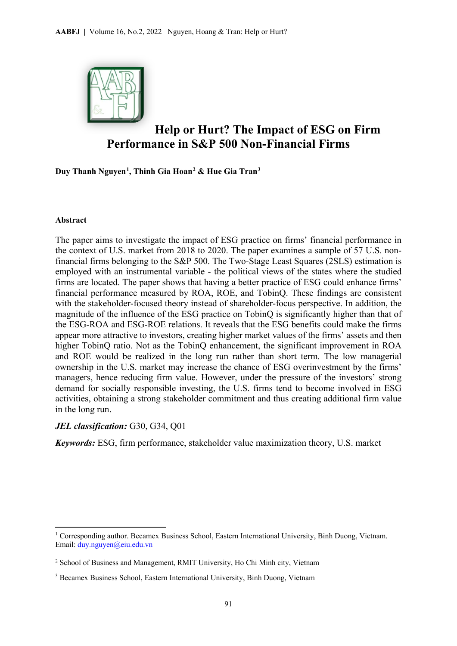

# **Help or Hurt? The Impact of ESG on Firm Performance in S&P 500 Non-Financial Firms**

**Duy Thanh Nguyen[1](#page-2-0) , Thinh Gia Hoan[2](#page-2-1) & Hue Gia Tran[3](#page-2-2)**

#### **Abstract**

 $\overline{a}$ 

The paper aims to investigate the impact of ESG practice on firms' financial performance in the context of U.S. market from 2018 to 2020. The paper examines a sample of 57 U.S. nonfinancial firms belonging to the S&P 500. The Two-Stage Least Squares (2SLS) estimation is employed with an instrumental variable - the political views of the states where the studied firms are located. The paper shows that having a better practice of ESG could enhance firms' financial performance measured by ROA, ROE, and TobinQ. These findings are consistent with the stakeholder-focused theory instead of shareholder-focus perspective. In addition, the magnitude of the influence of the ESG practice on TobinQ is significantly higher than that of the ESG-ROA and ESG-ROE relations. It reveals that the ESG benefits could make the firms appear more attractive to investors, creating higher market values of the firms' assets and then higher TobinQ ratio. Not as the TobinQ enhancement, the significant improvement in ROA and ROE would be realized in the long run rather than short term. The low managerial ownership in the U.S. market may increase the chance of ESG overinvestment by the firms' managers, hence reducing firm value. However, under the pressure of the investors' strong demand for socially responsible investing, the U.S. firms tend to become involved in ESG activities, obtaining a strong stakeholder commitment and thus creating additional firm value in the long run.

#### *JEL classification:* G30, G34, Q01

*Keywords:* ESG, firm performance, stakeholder value maximization theory, U.S. market

<span id="page-2-0"></span><sup>&</sup>lt;sup>1</sup> Corresponding author. Becamex Business School, Eastern International University, Binh Duong, Vietnam. Email: [duy.nguyen@eiu.edu.vn](mailto:duy.nguyen@eiu.edu.vn)

<span id="page-2-1"></span><sup>2</sup> School of Business and Management, RMIT University, Ho Chi Minh city, Vietnam

<span id="page-2-2"></span><sup>3</sup> Becamex Business School, Eastern International University, Binh Duong, Vietnam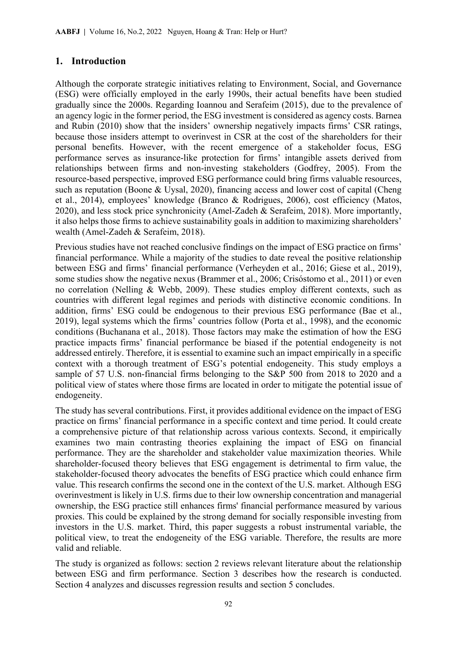# **1. Introduction**

Although the corporate strategic initiatives relating to Environment, Social, and Governance (ESG) were officially employed in the early 1990s, their actual benefits have been studied gradually since the 2000s. Regarding Ioannou and Serafeim (2015), due to the prevalence of an agency logic in the former period, the ESG investment is considered as agency costs. Barnea and Rubin (2010) show that the insiders' ownership negatively impacts firms' CSR ratings, because those insiders attempt to overinvest in CSR at the cost of the shareholders for their personal benefits. However, with the recent emergence of a stakeholder focus, ESG performance serves as insurance-like protection for firms' intangible assets derived from relationships between firms and non-investing stakeholders (Godfrey, 2005). From the resource-based perspective, improved ESG performance could bring firms valuable resources, such as reputation (Boone & Uysal, 2020), financing access and lower cost of capital (Cheng et al., 2014), employees' knowledge (Branco & Rodrigues, 2006), cost efficiency (Matos, 2020), and less stock price synchronicity (Amel-Zadeh & Serafeim, 2018). More importantly, it also helps those firms to achieve sustainability goals in addition to maximizing shareholders' wealth (Amel-Zadeh & Serafeim, 2018).

Previous studies have not reached conclusive findings on the impact of ESG practice on firms' financial performance. While a majority of the studies to date reveal the positive relationship between ESG and firms' financial performance (Verheyden et al., 2016; Giese et al., 2019), some studies show the negative nexus (Brammer et al., 2006; Crisóstomo et al., 2011) or even no correlation (Nelling & Webb, 2009). These studies employ different contexts, such as countries with different legal regimes and periods with distinctive economic conditions. In addition, firms' ESG could be endogenous to their previous ESG performance (Bae et al., 2019), legal systems which the firms' countries follow (Porta et al., 1998), and the economic conditions (Buchanana et al., 2018). Those factors may make the estimation of how the ESG practice impacts firms' financial performance be biased if the potential endogeneity is not addressed entirely. Therefore, it is essential to examine such an impact empirically in a specific context with a thorough treatment of ESG's potential endogeneity. This study employs a sample of 57 U.S. non-financial firms belonging to the S&P 500 from 2018 to 2020 and a political view of states where those firms are located in order to mitigate the potential issue of endogeneity.

The study has several contributions. First, it provides additional evidence on the impact of ESG practice on firms' financial performance in a specific context and time period. It could create a comprehensive picture of that relationship across various contexts. Second, it empirically examines two main contrasting theories explaining the impact of ESG on financial performance. They are the shareholder and stakeholder value maximization theories. While shareholder-focused theory believes that ESG engagement is detrimental to firm value, the stakeholder-focused theory advocates the benefits of ESG practice which could enhance firm value. This research confirms the second one in the context of the U.S. market. Although ESG overinvestment is likely in U.S. firms due to their low ownership concentration and managerial ownership, the ESG practice still enhances firms' financial performance measured by various proxies. This could be explained by the strong demand for socially responsible investing from investors in the U.S. market. Third, this paper suggests a robust instrumental variable, the political view, to treat the endogeneity of the ESG variable. Therefore, the results are more valid and reliable.

The study is organized as follows: section 2 reviews relevant literature about the relationship between ESG and firm performance. Section 3 describes how the research is conducted. Section 4 analyzes and discusses regression results and section 5 concludes.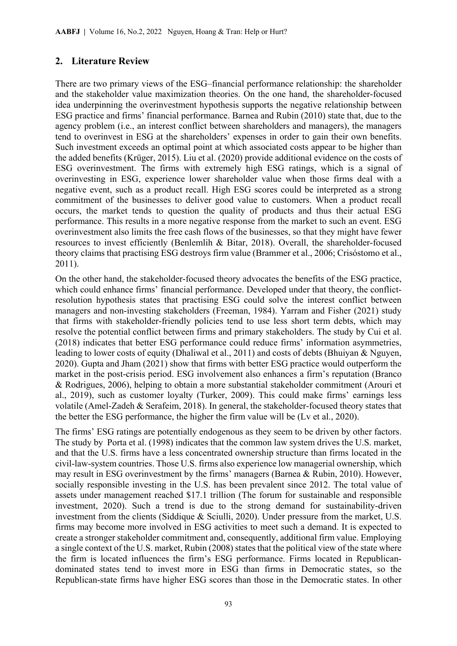## **2. Literature Review**

There are two primary views of the ESG–financial performance relationship: the shareholder and the stakeholder value maximization theories. On the one hand, the shareholder-focused idea underpinning the overinvestment hypothesis supports the negative relationship between ESG practice and firms' financial performance. Barnea and Rubin (2010) state that, due to the agency problem (i.e., an interest conflict between shareholders and managers), the managers tend to overinvest in ESG at the shareholders' expenses in order to gain their own benefits. Such investment exceeds an optimal point at which associated costs appear to be higher than the added benefits (Krüger, 2015). Liu et al. (2020) provide additional evidence on the costs of ESG overinvestment. The firms with extremely high ESG ratings, which is a signal of overinvesting in ESG, experience lower shareholder value when those firms deal with a negative event, such as a product recall. High ESG scores could be interpreted as a strong commitment of the businesses to deliver good value to customers. When a product recall occurs, the market tends to question the quality of products and thus their actual ESG performance. This results in a more negative response from the market to such an event. ESG overinvestment also limits the free cash flows of the businesses, so that they might have fewer resources to invest efficiently (Benlemlih & Bitar, 2018). Overall, the shareholder-focused theory claims that practising ESG destroys firm value (Brammer et al., 2006; Crisóstomo et al., 2011).

On the other hand, the stakeholder-focused theory advocates the benefits of the ESG practice, which could enhance firms' financial performance. Developed under that theory, the conflictresolution hypothesis states that practising ESG could solve the interest conflict between managers and non-investing stakeholders (Freeman, 1984). Yarram and Fisher (2021) study that firms with stakeholder-friendly policies tend to use less short term debts, which may resolve the potential conflict between firms and primary stakeholders. The study by Cui et al. (2018) indicates that better ESG performance could reduce firms' information asymmetries, leading to lower costs of equity (Dhaliwal et al., 2011) and costs of debts (Bhuiyan & Nguyen, 2020). Gupta and Jham (2021) show that firms with better ESG practice would outperform the market in the post-crisis period. ESG involvement also enhances a firm's reputation (Branco & Rodrigues, 2006), helping to obtain a more substantial stakeholder commitment (Arouri et al., 2019), such as customer loyalty (Turker, 2009). This could make firms' earnings less volatile (Amel-Zadeh & Serafeim, 2018). In general, the stakeholder-focused theory states that the better the ESG performance, the higher the firm value will be (Lv et al., 2020).

The firms' ESG ratings are potentially endogenous as they seem to be driven by other factors. The study by Porta et al. (1998) indicates that the common law system drives the U.S. market, and that the U.S. firms have a less concentrated ownership structure than firms located in the civil-law-system countries. Those U.S. firms also experience low managerial ownership, which may result in ESG overinvestment by the firms' managers (Barnea & Rubin, 2010). However, socially responsible investing in the U.S. has been prevalent since 2012. The total value of assets under management reached \$17.1 trillion (The forum for sustainable and responsible investment, 2020). Such a trend is due to the strong demand for sustainability-driven investment from the clients (Siddique & Sciulli, 2020). Under pressure from the market, U.S. firms may become more involved in ESG activities to meet such a demand. It is expected to create a stronger stakeholder commitment and, consequently, additional firm value. Employing a single context of the U.S. market, Rubin (2008) states that the political view of the state where the firm is located influences the firm's ESG performance. Firms located in Republicandominated states tend to invest more in ESG than firms in Democratic states, so the Republican-state firms have higher ESG scores than those in the Democratic states. In other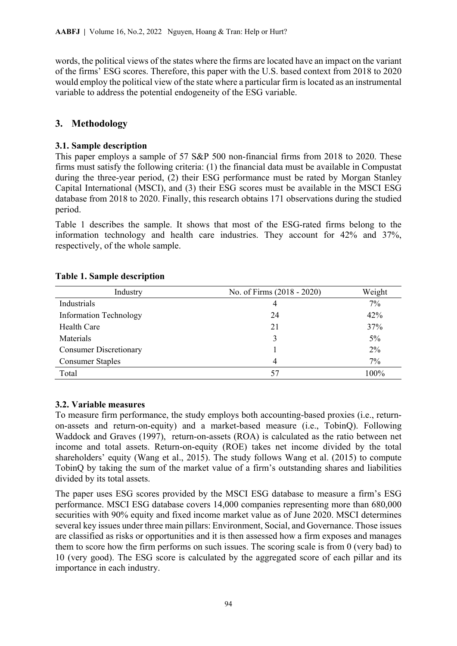words, the political views of the states where the firms are located have an impact on the variant of the firms' ESG scores. Therefore, this paper with the U.S. based context from 2018 to 2020 would employ the political view of the state where a particular firm is located as an instrumental variable to address the potential endogeneity of the ESG variable.

# **3. Methodology**

### **3.1. Sample description**

This paper employs a sample of 57 S&P 500 non-financial firms from 2018 to 2020. These firms must satisfy the following criteria: (1) the financial data must be available in Compustat during the three-year period, (2) their ESG performance must be rated by Morgan Stanley Capital International (MSCI), and (3) their ESG scores must be available in the MSCI ESG database from 2018 to 2020. Finally, this research obtains 171 observations during the studied period.

Table 1 describes the sample. It shows that most of the ESG-rated firms belong to the information technology and health care industries. They account for 42% and 37%, respectively, of the whole sample.

| Industry                      | No. of Firms (2018 - 2020) | Weight |
|-------------------------------|----------------------------|--------|
| Industrials                   | 4                          | $7\%$  |
| <b>Information Technology</b> | 24                         | 42%    |
| Health Care                   | 21                         | 37%    |
| Materials                     |                            | $5\%$  |
| <b>Consumer Discretionary</b> |                            | $2\%$  |
| <b>Consumer Staples</b>       | 4                          | 7%     |
| Total                         | 57                         | 100%   |

#### **Table 1. Sample description**

# **3.2. Variable measures**

To measure firm performance, the study employs both accounting-based proxies (i.e., returnon-assets and return-on-equity) and a market-based measure (i.e., TobinQ). Following Waddock and Graves (1997), return-on-assets (ROA) is calculated as the ratio between net income and total assets. Return-on-equity (ROE) takes net income divided by the total shareholders' equity (Wang et al., 2015). The study follows Wang et al. (2015) to compute TobinQ by taking the sum of the market value of a firm's outstanding shares and liabilities divided by its total assets.

The paper uses ESG scores provided by the MSCI ESG database to measure a firm's ESG performance. MSCI ESG database covers 14,000 companies representing more than 680,000 securities with 90% equity and fixed income market value as of June 2020. MSCI determines several key issues under three main pillars: Environment, Social, and Governance. Those issues are classified as risks or opportunities and it is then assessed how a firm exposes and manages them to score how the firm performs on such issues. The scoring scale is from 0 (very bad) to 10 (very good). The ESG score is calculated by the aggregated score of each pillar and its importance in each industry.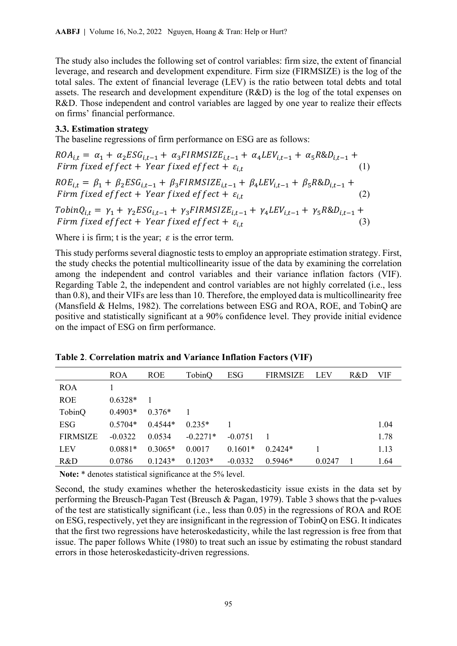The study also includes the following set of control variables: firm size, the extent of financial leverage, and research and development expenditure. Firm size (FIRMSIZE) is the log of the total sales. The extent of financial leverage (LEV) is the ratio between total debts and total assets. The research and development expenditure (R&D) is the log of the total expenses on R&D. Those independent and control variables are lagged by one year to realize their effects on firms' financial performance.

#### **3.3. Estimation strategy**

The baseline regressions of firm performance on ESG are as follows:

 $ROA_{i,t} = \alpha_1 + \alpha_2 ESG_{i,t-1} + \alpha_3 FIRMSIZE_{i,t-1} + \alpha_4 LEV_{i,t-1} + \alpha_5 R \&D_{i,t-1} +$ <br>Firm fixed effect + Year fixed effect +  $\varepsilon_i$ . (1) Firm fixed effect + Year fixed effect +  $\varepsilon_{i,t}$  $ROE_{i,t} = \beta_1 + \beta_2 ESG_{i,t-1} + \beta_3 FIRMSIZE_{i,t-1} + \beta_4 LEV_{i,t-1} + \beta_5 R&D_{i,t-1} +$ Firm fixed effect + Year fixed effect +  $\varepsilon_{i,t}$  (2)  $TobinQ_{i,t} = \gamma_1 + \gamma_2 ESG_{i,t-1} + \gamma_3 FIRMSIZE_{i,t-1} + \gamma_4 LEV_{i,t-1} + \gamma_5 R&D_{i,t-1} +$ Firm fixed effect + Year fixed effect +  $\varepsilon_{i,t}$  (3)

Where i is firm; t is the year;  $\varepsilon$  is the error term.

This study performs several diagnostic tests to employ an appropriate estimation strategy. First, the study checks the potential multicollinearity issue of the data by examining the correlation among the independent and control variables and their variance inflation factors (VIF). Regarding Table 2, the independent and control variables are not highly correlated (i.e., less than 0.8), and their VIFs are less than 10. Therefore, the employed data is multicollinearity free (Mansfield & Helms, 1982). The correlations between ESG and ROA, ROE, and TobinQ are positive and statistically significant at a 90% confidence level. They provide initial evidence on the impact of ESG on firm performance.

|                 | <b>ROA</b> | <b>ROE</b> | TobinQ     | <b>ESG</b> | <b>FIRMSIZE</b> | LEV    | R&D | VIF  |
|-----------------|------------|------------|------------|------------|-----------------|--------|-----|------|
| <b>ROA</b>      |            |            |            |            |                 |        |     |      |
| <b>ROE</b>      | $0.6328*$  |            |            |            |                 |        |     |      |
| TobinQ          | $0.4903*$  | $0.376*$   |            |            |                 |        |     |      |
| ESG             | $0.5704*$  | $0.4544*$  | $0.235*$   |            |                 |        |     | 1.04 |
| <b>FIRMSIZE</b> | $-0.0322$  | 0.0534     | $-0.2271*$ | $-0.0751$  |                 |        |     | 1.78 |
| <b>LEV</b>      | $0.0881*$  | $0.3065*$  | 0.0017     | $0.1601*$  | $0.2424*$       |        |     | 1.13 |
| R&D             | 0.0786     | $0.1243*$  | $0.1203*$  | $-0.0332$  | $0.5946*$       | 0.0247 |     | 1.64 |

**Table 2**. **Correlation matrix and Variance Inflation Factors (VIF)** 

**Note:** \* denotes statistical significance at the 5% level.

Second, the study examines whether the heteroskedasticity issue exists in the data set by performing the Breusch-Pagan Test (Breusch & Pagan, 1979). Table 3 shows that the p-values of the test are statistically significant (i.e., less than 0.05) in the regressions of ROA and ROE on ESG, respectively, yet they are insignificant in the regression of TobinQ on ESG. It indicates that the first two regressions have heteroskedasticity, while the last regression is free from that issue. The paper follows White (1980) to treat such an issue by estimating the robust standard errors in those heteroskedasticity-driven regressions.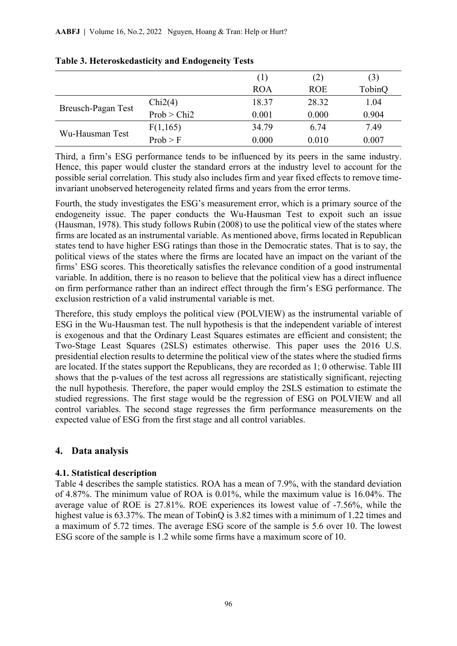|                    |             | (1)        | (2)        | (3)    |
|--------------------|-------------|------------|------------|--------|
|                    |             | <b>ROA</b> | <b>ROE</b> | TobinQ |
|                    | Chi2(4)     | 18.37      | 28.32      | 1.04   |
| Breusch-Pagan Test | Prob > Chi2 | 0.001      | 0.000      | 0.904  |
| Wu-Hausman Test    | F(1,165)    | 34.79      | 6.74       | 7.49   |
|                    | Prob > F    | 0.000      | 0.010      | 0.007  |

|  |  |  | Table 3. Heteroskedasticity and Endogeneity Tests |  |
|--|--|--|---------------------------------------------------|--|
|  |  |  |                                                   |  |

Third, a firm's ESG performance tends to be influenced by its peers in the same industry. Hence, this paper would cluster the standard errors at the industry level to account for the possible serial correlation. This study also includes firm and year fixed effects to remove timeinvariant unobserved heterogeneity related firms and years from the error terms.

Fourth, the study investigates the ESG's measurement error, which is a primary source of the endogeneity issue. The paper conducts the Wu-Hausman Test to expoit such an issue (Hausman, 1978). This study follows Rubin (2008) to use the political view of the states where firms are located as an instrumental variable. As mentioned above, firms located in Republican states tend to have higher ESG ratings than those in the Democratic states. That is to say, the political views of the states where the firms are located have an impact on the variant of the firms' ESG scores. This theoretically satisfies the relevance condition of a good instrumental variable. In addition, there is no reason to believe that the political view has a direct influence on firm performance rather than an indirect effect through the firm's ESG performance. The exclusion restriction of a valid instrumental variable is met.

Therefore, this study employs the political view (POLVIEW) as the instrumental variable of ESG in the Wu-Hausman test. The null hypothesis is that the independent variable of interest is exogenous and that the Ordinary Least Squares estimates are efficient and consistent; the Two-Stage Least Squares (2SLS) estimates otherwise. This paper uses the 2016 U.S. presidential election results to determine the political view of the states where the studied firms are located. If the states support the Republicans, they are recorded as 1; 0 otherwise. Table III shows that the p-values of the test across all regressions are statistically significant, rejecting the null hypothesis. Therefore, the paper would employ the 2SLS estimation to estimate the studied regressions. The first stage would be the regression of ESG on POLVIEW and all control variables. The second stage regresses the firm performance measurements on the expected value of ESG from the first stage and all control variables.

# **4. Data analysis**

## **4.1. Statistical description**

Table 4 describes the sample statistics. ROA has a mean of 7.9%, with the standard deviation of 4.87%. The minimum value of ROA is 0.01%, while the maximum value is 16.04%. The average value of ROE is 27.81%. ROE experiences its lowest value of -7.56%, while the highest value is 63.37%. The mean of TobinQ is 3.82 times with a minimum of 1.22 times and a maximum of 5.72 times. The average ESG score of the sample is 5.6 over 10. The lowest ESG score of the sample is 1.2 while some firms have a maximum score of 10.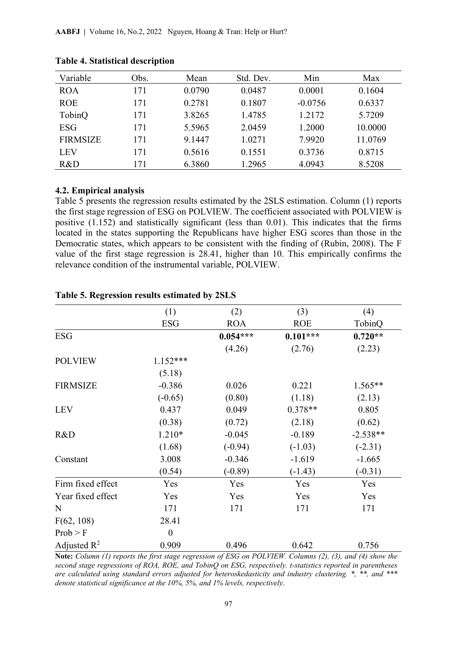| Variable        | Obs. | Mean   | Std. Dev. | Min       | Max     |
|-----------------|------|--------|-----------|-----------|---------|
| <b>ROA</b>      | 171  | 0.0790 | 0.0487    | 0.0001    | 0.1604  |
| <b>ROE</b>      | 171  | 0.2781 | 0.1807    | $-0.0756$ | 0.6337  |
| TobinQ          | 171  | 3.8265 | 1.4785    | 1.2172    | 5.7209  |
| <b>ESG</b>      | 171  | 5.5965 | 2.0459    | 1.2000    | 10.0000 |
| <b>FIRMSIZE</b> | 171  | 9.1447 | 1.0271    | 7.9920    | 11.0769 |
| <b>LEV</b>      | 171  | 0.5616 | 0.1551    | 0.3736    | 0.8715  |
| R&D             | 171  | 6.3860 | 1.2965    | 4.0943    | 8.5208  |

#### **Table 4. Statistical description**

### **4.2. Empirical analysis**

Table 5 presents the regression results estimated by the 2SLS estimation. Column (1) reports the first stage regression of ESG on POLVIEW. The coefficient associated with POLVIEW is positive (1.152) and statistically significant (less than 0.01). This indicates that the firms located in the states supporting the Republicans have higher ESG scores than those in the Democratic states, which appears to be consistent with the finding of (Rubin, 2008). The F value of the first stage regression is 28.41, higher than 10. This empirically confirms the relevance condition of the instrumental variable, POLVIEW.

|                   | (1)              | (2)        | (3)        | (4)        |
|-------------------|------------------|------------|------------|------------|
|                   | <b>ESG</b>       | <b>ROA</b> | <b>ROE</b> | TobinQ     |
| <b>ESG</b>        |                  | $0.054***$ | $0.101***$ | $0.720**$  |
|                   |                  | (4.26)     | (2.76)     | (2.23)     |
| <b>POLVIEW</b>    | $1.152***$       |            |            |            |
|                   | (5.18)           |            |            |            |
| <b>FIRMSIZE</b>   | $-0.386$         | 0.026      | 0.221      | $1.565**$  |
|                   | $(-0.65)$        | (0.80)     | (1.18)     | (2.13)     |
| <b>LEV</b>        | 0.437            | 0.049      | $0.378**$  | 0.805      |
|                   | (0.38)           | (0.72)     | (2.18)     | (0.62)     |
| R&D               | $1.210*$         | $-0.045$   | $-0.189$   | $-2.538**$ |
|                   | (1.68)           | $(-0.94)$  | $(-1.03)$  | $(-2.31)$  |
| Constant          | 3.008            | $-0.346$   | $-1.619$   | $-1.665$   |
|                   | (0.54)           | $(-0.89)$  | $(-1.43)$  | $(-0.31)$  |
| Firm fixed effect | Yes              | Yes        | Yes        | Yes        |
| Year fixed effect | Yes              | Yes        | Yes        | Yes        |
| $\mathbf N$       | 171              | 171        | 171        | 171        |
| F(62, 108)        | 28.41            |            |            |            |
| Prob > F          | $\boldsymbol{0}$ |            |            |            |
| Adjusted $R^2$    | 0.909            | 0.496      | 0.642      | 0.756      |

#### **Table 5. Regression results estimated by 2SLS**

**Note:** *Column (1) reports the first stage regression of ESG on POLVIEW. Columns (2), (3), and (4) show the second stage regressions of ROA, ROE, and TobinQ on ESG, respectively. t-statistics reported in parentheses are calculated using standard errors adjusted for heteroskedasticity and industry clustering. \*, \*\*, and \*\*\* denote statistical significance at the 10%, 5%, and 1% levels, respectively*.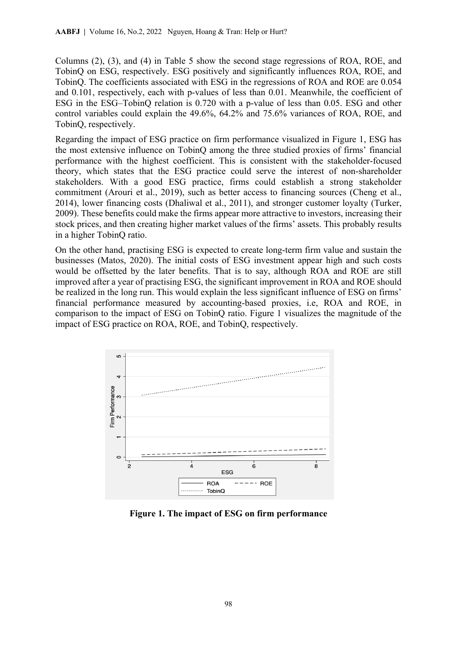Columns (2), (3), and (4) in Table 5 show the second stage regressions of ROA, ROE, and TobinQ on ESG, respectively. ESG positively and significantly influences ROA, ROE, and TobinQ. The coefficients associated with ESG in the regressions of ROA and ROE are 0.054 and 0.101, respectively, each with p-values of less than 0.01. Meanwhile, the coefficient of ESG in the ESG–TobinQ relation is 0.720 with a p-value of less than 0.05. ESG and other control variables could explain the 49.6%, 64.2% and 75.6% variances of ROA, ROE, and TobinQ, respectively.

Regarding the impact of ESG practice on firm performance visualized in Figure 1, ESG has the most extensive influence on TobinQ among the three studied proxies of firms' financial performance with the highest coefficient. This is consistent with the stakeholder-focused theory, which states that the ESG practice could serve the interest of non-shareholder stakeholders. With a good ESG practice, firms could establish a strong stakeholder commitment (Arouri et al., 2019), such as better access to financing sources (Cheng et al., 2014), lower financing costs (Dhaliwal et al., 2011), and stronger customer loyalty (Turker, 2009). These benefits could make the firms appear more attractive to investors, increasing their stock prices, and then creating higher market values of the firms' assets. This probably results in a higher TobinQ ratio.

On the other hand, practising ESG is expected to create long-term firm value and sustain the businesses (Matos, 2020). The initial costs of ESG investment appear high and such costs would be offsetted by the later benefits. That is to say, although ROA and ROE are still improved after a year of practising ESG, the significant improvement in ROA and ROE should be realized in the long run. This would explain the less significant influence of ESG on firms' financial performance measured by accounting-based proxies, i.e, ROA and ROE, in comparison to the impact of ESG on TobinQ ratio. Figure 1 visualizes the magnitude of the impact of ESG practice on ROA, ROE, and TobinQ, respectively.



**Figure 1. The impact of ESG on firm performance**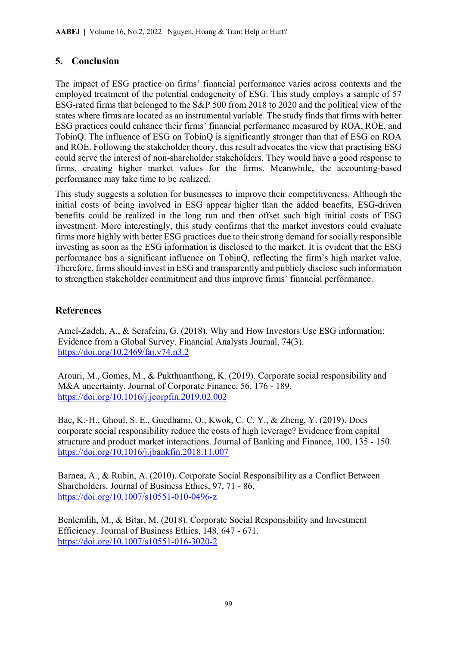# **5. Conclusion**

The impact of ESG practice on firms' financial performance varies across contexts and the employed treatment of the potential endogeneity of ESG. This study employs a sample of 57 ESG-rated firms that belonged to the S&P 500 from 2018 to 2020 and the political view of the states where firms are located as an instrumental variable. The study finds that firms with better ESG practices could enhance their firms' financial performance measured by ROA, ROE, and TobinQ. The influence of ESG on TobinQ is significantly stronger than that of ESG on ROA and ROE. Following the stakeholder theory, this result advocates the view that practising ESG could serve the interest of non-shareholder stakeholders. They would have a good response to firms, creating higher market values for the firms. Meanwhile, the accounting-based performance may take time to be realized.

This study suggests a solution for businesses to improve their competitiveness. Although the initial costs of being involved in ESG appear higher than the added benefits, ESG-driven benefits could be realized in the long run and then offset such high initial costs of ESG investment. More interestingly, this study confirms that the market investors could evaluate firms more highly with better ESG practices due to their strong demand for socially responsible investing as soon as the ESG information is disclosed to the market. It is evident that the ESG performance has a significant influence on TobinQ, reflecting the firm's high market value. Therefore, firms should invest in ESG and transparently and publicly disclose such information to strengthen stakeholder commitment and thus improve firms' financial performance.

# **References**

Amel-Zadeh, A., & Serafeim, G. (2018). Why and How Investors Use ESG information: Evidence from a Global Survey. Financial Analysts Journal, 74(3). <https://doi.org/10.2469/faj.v74.n3.2>

Arouri, M., Gomes, M., & Pukthuanthong, K. (2019). Corporate social responsibility and M&A uncertainty. Journal of Corporate Finance, 56, 176 - 189. <https://doi.org/10.1016/j.jcorpfin.2019.02.002>

Bae, K.-H., Ghoul, S. E., Guedhami, O., Kwok, C. C. Y., & Zheng, Y. (2019). Does corporate social responsibility reduce the costs of high leverage? Evidence from capital structure and product market interactions. Journal of Banking and Finance, 100, 135 - 150. <https://doi.org/10.1016/j.jbankfin.2018.11.007>

Barnea, A., & Rubin, A. (2010). Corporate Social Responsibility as a Conflict Between Shareholders. Journal of Business Ethics, 97, 71 - 86. <https://doi.org/10.1007/s10551-010-0496-z>

Benlemlih, M., & Bitar, M. (2018). Corporate Social Responsibility and Investment Efficiency. Journal of Business Ethics, 148, 647 - 671. <https://doi.org/10.1007/s10551-016-3020-2>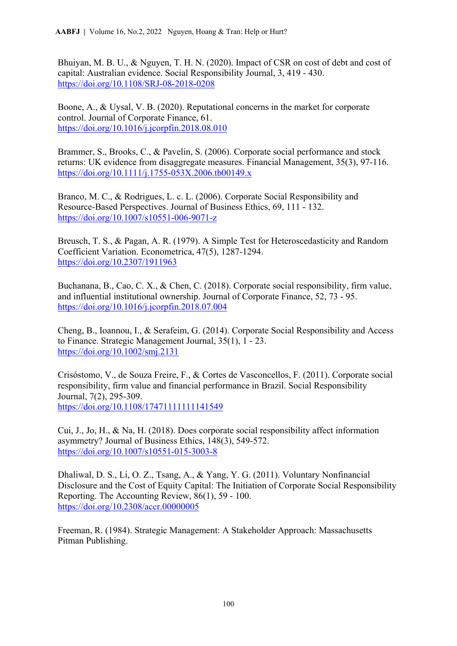Bhuiyan, M. B. U., & Nguyen, T. H. N. (2020). Impact of CSR on cost of debt and cost of capital: Australian evidence. Social Responsibility Journal, 3, 419 - 430. <https://doi.org/10.1108/SRJ-08-2018-0208>

Boone, A., & Uysal, V. B. (2020). Reputational concerns in the market for corporate control. Journal of Corporate Finance, 61. <https://doi.org/10.1016/j.jcorpfin.2018.08.010>

Brammer, S., Brooks, C., & Pavelin, S. (2006). Corporate social performance and stock returns: UK evidence from disaggregate measures. Financial Management, 35(3), 97-116. <https://doi.org/10.1111/j.1755-053X.2006.tb00149.x>

Branco, M. C., & Rodrigues, L. c. L. (2006). Corporate Social Responsibility and Resource-Based Perspectives. Journal of Business Ethics, 69, 111 - 132. <https://doi.org/10.1007/s10551-006-9071-z>

Breusch, T. S., & Pagan, A. R. (1979). A Simple Test for Heteroscedasticity and Random Coefficient Variation. Econometrica, 47(5), 1287-1294. <https://doi.org/10.2307/1911963>

Buchanana, B., Cao, C. X., & Chen, C. (2018). Corporate social responsibility, firm value, and influential institutional ownership. Journal of Corporate Finance, 52, 73 - 95. <https://doi.org/10.1016/j.jcorpfin.2018.07.004>

Cheng, B., Ioannou, I., & Serafeim, G. (2014). Corporate Social Responsibility and Access to Finance. Strategic Management Journal, 35(1), 1 - 23. <https://doi.org/10.1002/smj.2131>

Crisóstomo, V., de Souza Freire, F., & Cortes de Vasconcellos, F. (2011). Corporate social responsibility, firm value and financial performance in Brazil. Social Responsibility Journal, 7(2), 295-309. <https://doi.org/10.1108/17471111111141549>

Cui, J., Jo, H., & Na, H. (2018). Does corporate social responsibility affect information asymmetry? Journal of Business Ethics, 148(3), 549-572. <https://doi.org/10.1007/s10551-015-3003-8>

Dhaliwal, D. S., Li, O. Z., Tsang, A., & Yang, Y. G. (2011). Voluntary Nonfinancial Disclosure and the Cost of Equity Capital: The Initiation of Corporate Social Responsibility Reporting. The Accounting Review, 86(1), 59 - 100. <https://doi.org/10.2308/accr.00000005>

Freeman, R. (1984). Strategic Management: A Stakeholder Approach: Massachusetts Pitman Publishing.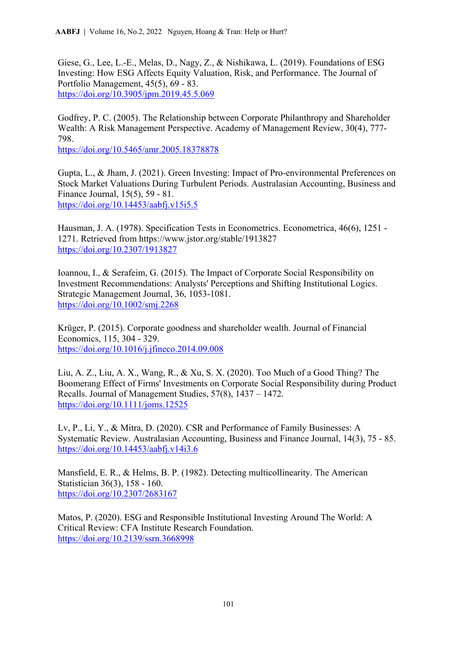Giese, G., Lee, L.-E., Melas, D., Nagy, Z., & Nishikawa, L. (2019). Foundations of ESG Investing: How ESG Affects Equity Valuation, Risk, and Performance. The Journal of Portfolio Management, 45(5), 69 - 83. <https://doi.org/10.3905/jpm.2019.45.5.069>

Godfrey, P. C. (2005). The Relationship between Corporate Philanthropy and Shareholder Wealth: A Risk Management Perspective. Academy of Management Review, 30(4), 777- 798.

<https://doi.org/10.5465/amr.2005.18378878>

Gupta, L., & Jham, J. (2021). Green Investing: Impact of Pro-environmental Preferences on Stock Market Valuations During Turbulent Periods. Australasian Accounting, Business and Finance Journal, 15(5), 59 - 81. <https://doi.org/10.14453/aabfj.v15i5.5>

Hausman, J. A. (1978). Specification Tests in Econometrics. Econometrica, 46(6), 1251 - 1271. Retrieved from https://www.jstor.org/stable/1913827 <https://doi.org/10.2307/1913827>

Ioannou, I., & Serafeim, G. (2015). The Impact of Corporate Social Responsibility on Investment Recommendations: Analysts' Perceptions and Shifting Institutional Logics. Strategic Management Journal, 36, 1053-1081. <https://doi.org/10.1002/smj.2268>

Krüger, P. (2015). Corporate goodness and shareholder wealth. Journal of Financial Economics, 115, 304 - 329. <https://doi.org/10.1016/j.jfineco.2014.09.008>

Liu, A. Z., Liu, A. X., Wang, R., & Xu, S. X. (2020). Too Much of a Good Thing? The Boomerang Effect of Firms' Investments on Corporate Social Responsibility during Product Recalls. Journal of Management Studies, 57(8), 1437 – 1472. <https://doi.org/10.1111/joms.12525>

Lv, P., Li, Y., & Mitra, D. (2020). CSR and Performance of Family Businesses: A Systematic Review. Australasian Accounting, Business and Finance Journal, 14(3), 75 - 85. <https://doi.org/10.14453/aabfj.v14i3.6>

Mansfield, E. R., & Helms, B. P. (1982). Detecting multicollinearity. The American Statistician 36(3), 158 - 160. <https://doi.org/10.2307/2683167>

Matos, P. (2020). ESG and Responsible Institutional Investing Around The World: A Critical Review: CFA Institute Research Foundation. <https://doi.org/10.2139/ssrn.3668998>